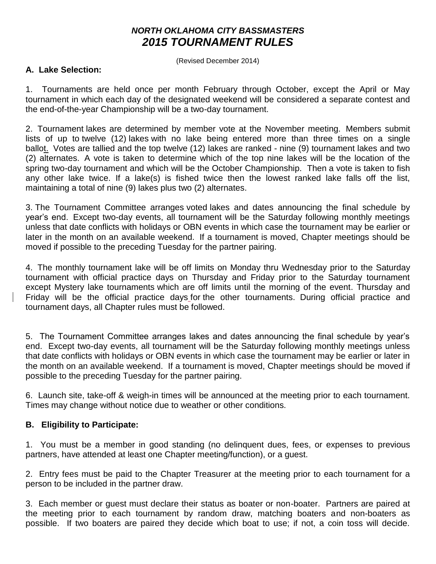# *NORTH OKLAHOMA CITY BASSMASTERS 2015 TOURNAMENT RULES*

(Revised December 2014)

#### **A. Lake Selection:**

1. Tournaments are held once per month February through October, except the April or May tournament in which each day of the designated weekend will be considered a separate contest and the end-of-the-year Championship will be a two-day tournament.

2. Tournament lakes are determined by member vote at the November meeting. Members submit lists of up to twelve (12) lakes with no lake being entered more than three times on a single ballot. Votes are tallied and the top twelve (12) lakes are ranked - nine (9) tournament lakes and two (2) alternates. A vote is taken to determine which of the top nine lakes will be the location of the spring two-day tournament and which will be the October Championship. Then a vote is taken to fish any other lake twice. If a lake(s) is fished twice then the lowest ranked lake falls off the list, maintaining a total of nine (9) lakes plus two (2) alternates.

3. The Tournament Committee arranges voted lakes and dates announcing the final schedule by year's end. Except two-day events, all tournament will be the Saturday following monthly meetings unless that date conflicts with holidays or OBN events in which case the tournament may be earlier or later in the month on an available weekend. If a tournament is moved, Chapter meetings should be moved if possible to the preceding Tuesday for the partner pairing.

4. The monthly tournament lake will be off limits on Monday thru Wednesday prior to the Saturday tournament with official practice days on Thursday and Friday prior to the Saturday tournament except Mystery lake tournaments which are off limits until the morning of the event. Thursday and Friday will be the official practice days for the other tournaments. During official practice and tournament days, all Chapter rules must be followed.

5. The Tournament Committee arranges lakes and dates announcing the final schedule by year's end. Except two-day events, all tournament will be the Saturday following monthly meetings unless that date conflicts with holidays or OBN events in which case the tournament may be earlier or later in the month on an available weekend. If a tournament is moved, Chapter meetings should be moved if possible to the preceding Tuesday for the partner pairing.

6. Launch site, take-off & weigh-in times will be announced at the meeting prior to each tournament. Times may change without notice due to weather or other conditions.

### **B. Eligibility to Participate:**

1. You must be a member in good standing (no delinquent dues, fees, or expenses to previous partners, have attended at least one Chapter meeting/function), or a guest.

2. Entry fees must be paid to the Chapter Treasurer at the meeting prior to each tournament for a person to be included in the partner draw.

3. Each member or guest must declare their status as boater or non-boater. Partners are paired at the meeting prior to each tournament by random draw, matching boaters and non-boaters as possible. If two boaters are paired they decide which boat to use; if not, a coin toss will decide.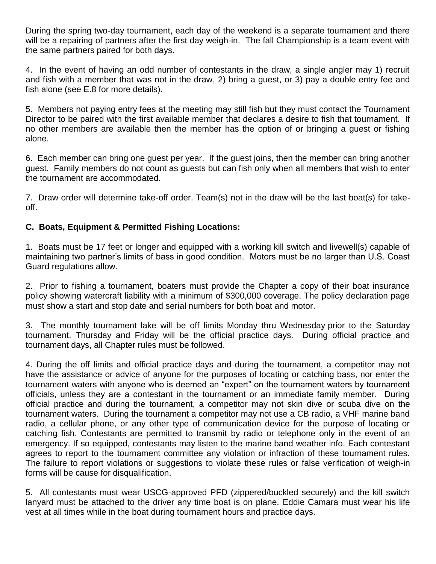During the spring two-day tournament, each day of the weekend is a separate tournament and there will be a repairing of partners after the first day weigh-in. The fall Championship is a team event with the same partners paired for both days.

4. In the event of having an odd number of contestants in the draw, a single angler may 1) recruit and fish with a member that was not in the draw, 2) bring a guest, or 3) pay a double entry fee and fish alone (see E.8 for more details).

5. Members not paying entry fees at the meeting may still fish but they must contact the Tournament Director to be paired with the first available member that declares a desire to fish that tournament. If no other members are available then the member has the option of or bringing a guest or fishing alone.

6. Each member can bring one guest per year. If the guest joins, then the member can bring another guest. Family members do not count as guests but can fish only when all members that wish to enter the tournament are accommodated.

7. Draw order will determine take-off order. Team(s) not in the draw will be the last boat(s) for takeoff.

## **C. Boats, Equipment & Permitted Fishing Locations:**

1. Boats must be 17 feet or longer and equipped with a working kill switch and livewell(s) capable of maintaining two partner's limits of bass in good condition. Motors must be no larger than U.S. Coast Guard regulations allow.

2. Prior to fishing a tournament, boaters must provide the Chapter a copy of their boat insurance policy showing watercraft liability with a minimum of \$300,000 coverage. The policy declaration page must show a start and stop date and serial numbers for both boat and motor.

3. The monthly tournament lake will be off limits Monday thru Wednesday prior to the Saturday tournament. Thursday and Friday will be the official practice days. During official practice and tournament days, all Chapter rules must be followed.

4. During the off limits and official practice days and during the tournament, a competitor may not have the assistance or advice of anyone for the purposes of locating or catching bass, nor enter the tournament waters with anyone who is deemed an "expert" on the tournament waters by tournament officials, unless they are a contestant in the tournament or an immediate family member. During official practice and during the tournament, a competitor may not skin dive or scuba dive on the tournament waters. During the tournament a competitor may not use a CB radio, a VHF marine band radio, a cellular phone, or any other type of communication device for the purpose of locating or catching fish. Contestants are permitted to transmit by radio or telephone only in the event of an emergency. If so equipped, contestants may listen to the marine band weather info. Each contestant agrees to report to the tournament committee any violation or infraction of these tournament rules. The failure to report violations or suggestions to violate these rules or false verification of weigh-in forms will be cause for disqualification.

5. All contestants must wear USCG-approved PFD (zippered/buckled securely) and the kill switch lanyard must be attached to the driver any time boat is on plane. Eddie Camara must wear his life vest at all times while in the boat during tournament hours and practice days.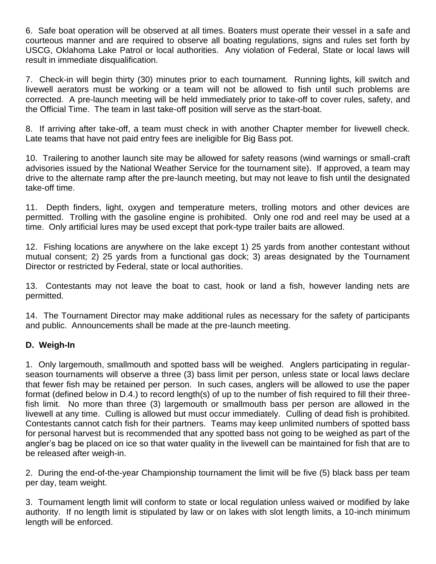6. Safe boat operation will be observed at all times. Boaters must operate their vessel in a safe and courteous manner and are required to observe all boating regulations, signs and rules set forth by USCG, Oklahoma Lake Patrol or local authorities. Any violation of Federal, State or local laws will result in immediate disqualification.

7. Check-in will begin thirty (30) minutes prior to each tournament. Running lights, kill switch and livewell aerators must be working or a team will not be allowed to fish until such problems are corrected. A pre-launch meeting will be held immediately prior to take-off to cover rules, safety, and the Official Time. The team in last take-off position will serve as the start-boat.

8. If arriving after take-off, a team must check in with another Chapter member for livewell check. Late teams that have not paid entry fees are ineligible for Big Bass pot.

10. Trailering to another launch site may be allowed for safety reasons (wind warnings or small-craft advisories issued by the National Weather Service for the tournament site). If approved, a team may drive to the alternate ramp after the pre-launch meeting, but may not leave to fish until the designated take-off time.

11. Depth finders, light, oxygen and temperature meters, trolling motors and other devices are permitted. Trolling with the gasoline engine is prohibited. Only one rod and reel may be used at a time. Only artificial lures may be used except that pork-type trailer baits are allowed.

12. Fishing locations are anywhere on the lake except 1) 25 yards from another contestant without mutual consent; 2) 25 yards from a functional gas dock; 3) areas designated by the Tournament Director or restricted by Federal, state or local authorities.

13. Contestants may not leave the boat to cast, hook or land a fish, however landing nets are permitted.

14. The Tournament Director may make additional rules as necessary for the safety of participants and public. Announcements shall be made at the pre-launch meeting.

### **D. Weigh-In**

1. Only largemouth, smallmouth and spotted bass will be weighed. Anglers participating in regularseason tournaments will observe a three (3) bass limit per person, unless state or local laws declare that fewer fish may be retained per person. In such cases, anglers will be allowed to use the paper format (defined below in D.4.) to record length(s) of up to the number of fish required to fill their threefish limit. No more than three (3) largemouth or smallmouth bass per person are allowed in the livewell at any time. Culling is allowed but must occur immediately. Culling of dead fish is prohibited. Contestants cannot catch fish for their partners. Teams may keep unlimited numbers of spotted bass for personal harvest but is recommended that any spotted bass not going to be weighed as part of the angler's bag be placed on ice so that water quality in the livewell can be maintained for fish that are to be released after weigh-in.

2. During the end-of-the-year Championship tournament the limit will be five (5) black bass per team per day, team weight.

3. Tournament length limit will conform to state or local regulation unless waived or modified by lake authority. If no length limit is stipulated by law or on lakes with slot length limits, a 10-inch minimum length will be enforced.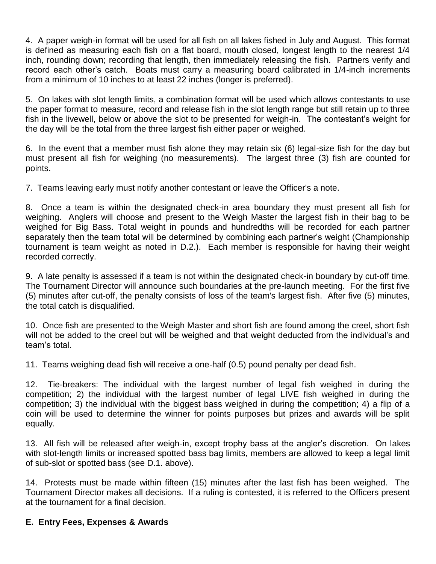4. A paper weigh-in format will be used for all fish on all lakes fished in July and August. This format is defined as measuring each fish on a flat board, mouth closed, longest length to the nearest 1/4 inch, rounding down; recording that length, then immediately releasing the fish. Partners verify and record each other's catch. Boats must carry a measuring board calibrated in 1/4-inch increments from a minimum of 10 inches to at least 22 inches (longer is preferred).

5. On lakes with slot length limits, a combination format will be used which allows contestants to use the paper format to measure, record and release fish in the slot length range but still retain up to three fish in the livewell, below or above the slot to be presented for weigh-in. The contestant's weight for the day will be the total from the three largest fish either paper or weighed.

6. In the event that a member must fish alone they may retain six (6) legal-size fish for the day but must present all fish for weighing (no measurements). The largest three (3) fish are counted for points.

7. Teams leaving early must notify another contestant or leave the Officer's a note.

8. Once a team is within the designated check-in area boundary they must present all fish for weighing. Anglers will choose and present to the Weigh Master the largest fish in their bag to be weighed for Big Bass. Total weight in pounds and hundredths will be recorded for each partner separately then the team total will be determined by combining each partner's weight (Championship tournament is team weight as noted in D.2.). Each member is responsible for having their weight recorded correctly.

9. A late penalty is assessed if a team is not within the designated check-in boundary by cut-off time. The Tournament Director will announce such boundaries at the pre-launch meeting. For the first five (5) minutes after cut-off, the penalty consists of loss of the team's largest fish. After five (5) minutes, the total catch is disqualified.

10. Once fish are presented to the Weigh Master and short fish are found among the creel, short fish will not be added to the creel but will be weighed and that weight deducted from the individual's and team's total.

11. Teams weighing dead fish will receive a one-half (0.5) pound penalty per dead fish.

12. Tie-breakers: The individual with the largest number of legal fish weighed in during the competition; 2) the individual with the largest number of legal LIVE fish weighed in during the competition; 3) the individual with the biggest bass weighed in during the competition; 4) a flip of a coin will be used to determine the winner for points purposes but prizes and awards will be split equally.

13. All fish will be released after weigh-in, except trophy bass at the angler's discretion. On lakes with slot-length limits or increased spotted bass bag limits, members are allowed to keep a legal limit of sub-slot or spotted bass (see D.1. above).

14. Protests must be made within fifteen (15) minutes after the last fish has been weighed. The Tournament Director makes all decisions. If a ruling is contested, it is referred to the Officers present at the tournament for a final decision.

# **E. Entry Fees, Expenses & Awards**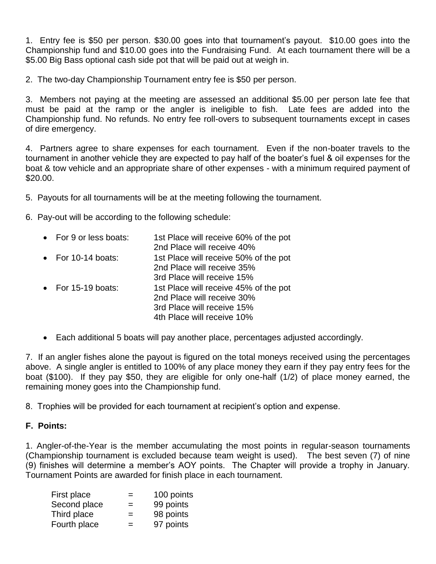1. Entry fee is \$50 per person. \$30.00 goes into that tournament's payout. \$10.00 goes into the Championship fund and \$10.00 goes into the Fundraising Fund. At each tournament there will be a \$5.00 Big Bass optional cash side pot that will be paid out at weigh in.

2. The two-day Championship Tournament entry fee is \$50 per person.

3. Members not paying at the meeting are assessed an additional \$5.00 per person late fee that must be paid at the ramp or the angler is ineligible to fish. Late fees are added into the Championship fund. No refunds. No entry fee roll-overs to subsequent tournaments except in cases of dire emergency.

4. Partners agree to share expenses for each tournament. Even if the non-boater travels to the tournament in another vehicle they are expected to pay half of the boater's fuel & oil expenses for the boat & tow vehicle and an appropriate share of other expenses - with a minimum required payment of \$20.00.

5. Payouts for all tournaments will be at the meeting following the tournament.

6. Pay-out will be according to the following schedule:

| • For 9 or less boats: | 1st Place will receive 60% of the pot<br>2nd Place will receive 40% |
|------------------------|---------------------------------------------------------------------|
| • For $10-14$ boats:   | 1st Place will receive 50% of the pot                               |
|                        | 2nd Place will receive 35%                                          |
|                        | 3rd Place will receive 15%                                          |
| • For $15-19$ boats:   | 1st Place will receive 45% of the pot                               |
|                        | 2nd Place will receive 30%                                          |
|                        | 3rd Place will receive 15%                                          |
|                        | 4th Place will receive 10%                                          |

Each additional 5 boats will pay another place, percentages adjusted accordingly.

7. If an angler fishes alone the payout is figured on the total moneys received using the percentages above. A single angler is entitled to 100% of any place money they earn if they pay entry fees for the boat (\$100). If they pay \$50, they are eligible for only one-half (1/2) of place money earned, the remaining money goes into the Championship fund.

8. Trophies will be provided for each tournament at recipient's option and expense.

### **F. Points:**

1. Angler-of-the-Year is the member accumulating the most points in regular-season tournaments (Championship tournament is excluded because team weight is used). The best seven (7) of nine (9) finishes will determine a member's AOY points. The Chapter will provide a trophy in January. Tournament Points are awarded for finish place in each tournament.

| $=$ | 100 points |
|-----|------------|
| $=$ | 99 points  |
| $=$ | 98 points  |
| $=$ | 97 points  |
|     |            |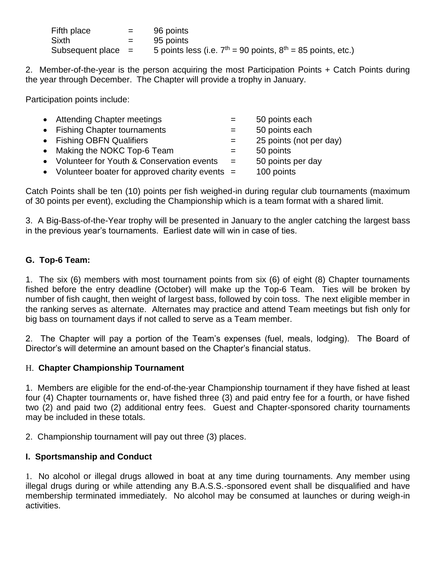| Fifth place          | $=$ $-$ | 96 points                                                       |
|----------------------|---------|-----------------------------------------------------------------|
| Sixth                | $=$ $-$ | 95 points                                                       |
| Subsequent place $=$ |         | 5 points less (i.e. $7th = 90$ points, $8th = 85$ points, etc.) |

2. Member-of-the-year is the person acquiring the most Participation Points + Catch Points during the year through December. The Chapter will provide a trophy in January.

Participation points include:

| • Attending Chapter meetings                       | $=$ | 50 points each          |
|----------------------------------------------------|-----|-------------------------|
| • Fishing Chapter tournaments                      | $=$ | 50 points each          |
| • Fishing OBFN Qualifiers                          | $=$ | 25 points (not per day) |
| • Making the NOKC Top-6 Team                       | $=$ | 50 points               |
| • Volunteer for Youth & Conservation events        | $=$ | 50 points per day       |
| • Volunteer boater for approved charity events $=$ |     | 100 points              |
|                                                    |     |                         |

Catch Points shall be ten (10) points per fish weighed-in during regular club tournaments (maximum of 30 points per event), excluding the Championship which is a team format with a shared limit.

3. A Big-Bass-of-the-Year trophy will be presented in January to the angler catching the largest bass in the previous year's tournaments. Earliest date will win in case of ties.

### **G. Top-6 Team:**

1. The six (6) members with most tournament points from six (6) of eight (8) Chapter tournaments fished before the entry deadline (October) will make up the Top-6 Team. Ties will be broken by number of fish caught, then weight of largest bass, followed by coin toss. The next eligible member in the ranking serves as alternate. Alternates may practice and attend Team meetings but fish only for big bass on tournament days if not called to serve as a Team member.

2. The Chapter will pay a portion of the Team's expenses (fuel, meals, lodging). The Board of Director's will determine an amount based on the Chapter's financial status.

#### H. **Chapter Championship Tournament**

1. Members are eligible for the end-of-the-year Championship tournament if they have fished at least four (4) Chapter tournaments or, have fished three (3) and paid entry fee for a fourth, or have fished two (2) and paid two (2) additional entry fees. Guest and Chapter-sponsored charity tournaments may be included in these totals.

2. Championship tournament will pay out three (3) places.

### **I. Sportsmanship and Conduct**

1. No alcohol or illegal drugs allowed in boat at any time during tournaments. Any member using illegal drugs during or while attending any B.A.S.S.-sponsored event shall be disqualified and have membership terminated immediately. No alcohol may be consumed at launches or during weigh-in activities.